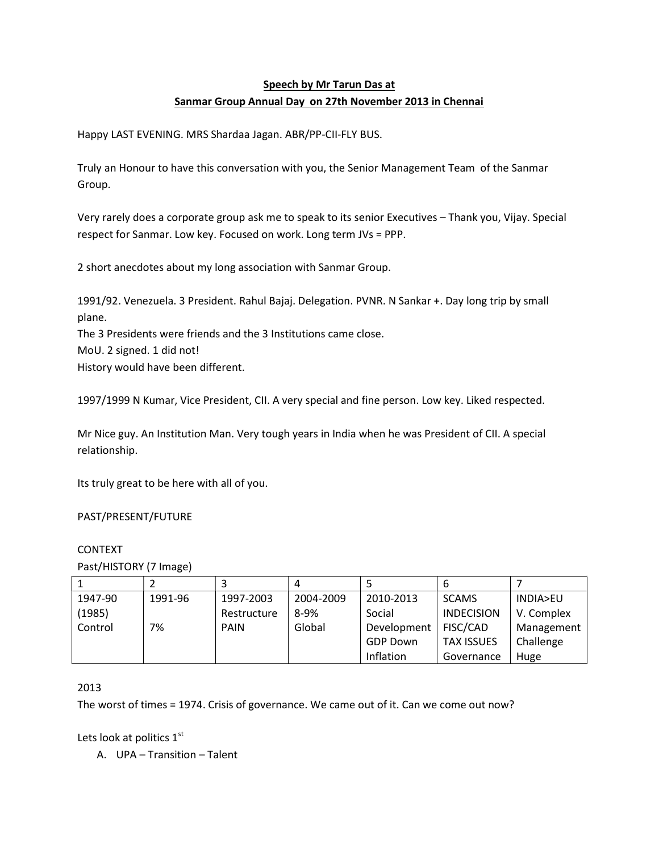## Speech by Mr Tarun Das at Sanmar Group Annual Day on 27th November 2013 in Chennai

Happy LAST EVENING. MRS Shardaa Jagan. ABR/PP-CII-FLY BUS.

Truly an Honour to have this conversation with you, the Senior Management Team of the Sanmar Group.

Very rarely does a corporate group ask me to speak to its senior Executives – Thank you, Vijay. Special respect for Sanmar. Low key. Focused on work. Long term JVs = PPP.

2 short anecdotes about my long association with Sanmar Group.

1991/92. Venezuela. 3 President. Rahul Bajaj. Delegation. PVNR. N Sankar +. Day long trip by small plane.

The 3 Presidents were friends and the 3 Institutions came close.

MoU. 2 signed. 1 did not!

History would have been different.

1997/1999 N Kumar, Vice President, CII. A very special and fine person. Low key. Liked respected.

Mr Nice guy. An Institution Man. Very tough years in India when he was President of CII. A special relationship.

Its truly great to be here with all of you.

PAST/PRESENT/FUTURE

## CONTEXT

Past/HISTORY (7 Image)

|         |         |             | 4         |                 | o                 |            |
|---------|---------|-------------|-----------|-----------------|-------------------|------------|
| 1947-90 | 1991-96 | 1997-2003   | 2004-2009 | 2010-2013       | <b>SCAMS</b>      | INDIA>EU   |
| (1985)  |         | Restructure | $8 - 9%$  | Social          | <b>INDECISION</b> | V. Complex |
| Control | 7%      | <b>PAIN</b> | Global    | Development     | FISC/CAD          | Management |
|         |         |             |           | <b>GDP Down</b> | <b>TAX ISSUES</b> | Challenge  |
|         |         |             |           | Inflation       | Governance        | Huge       |

2013

The worst of times = 1974. Crisis of governance. We came out of it. Can we come out now?

Lets look at politics  $1<sup>st</sup>$ 

A. UPA – Transition – Talent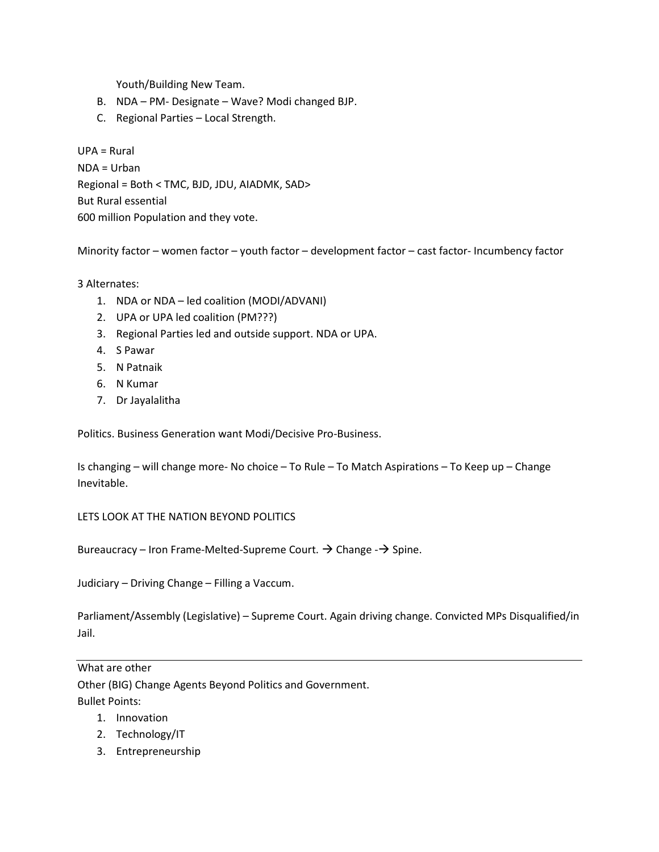Youth/Building New Team.

- B. NDA PM- Designate Wave? Modi changed BJP.
- C. Regional Parties Local Strength.

UPA = Rural NDA = Urban Regional = Both < TMC, BJD, JDU, AIADMK, SAD> But Rural essential 600 million Population and they vote.

Minority factor – women factor – youth factor – development factor – cast factor- Incumbency factor

3 Alternates:

- 1. NDA or NDA led coalition (MODI/ADVANI)
- 2. UPA or UPA led coalition (PM???)
- 3. Regional Parties led and outside support. NDA or UPA.
- 4. S Pawar
- 5. N Patnaik
- 6. N Kumar
- 7. Dr Jayalalitha

Politics. Business Generation want Modi/Decisive Pro-Business.

Is changing – will change more- No choice – To Rule – To Match Aspirations – To Keep up – Change Inevitable.

LETS LOOK AT THE NATION BEYOND POLITICS

Bureaucracy – Iron Frame-Melted-Supreme Court.  $\rightarrow$  Change - $\rightarrow$  Spine.

Judiciary – Driving Change – Filling a Vaccum.

Parliament/Assembly (Legislative) – Supreme Court. Again driving change. Convicted MPs Disqualified/in Jail.

What are other

Other (BIG) Change Agents Beyond Politics and Government. Bullet Points:

- 1. Innovation
- 2. Technology/IT
- 3. Entrepreneurship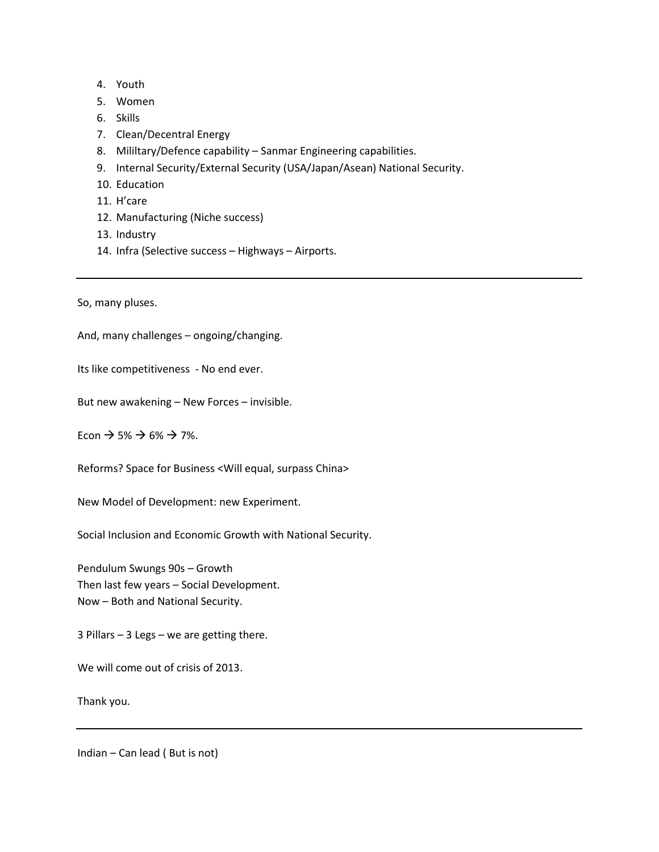- 4. Youth
- 5. Women
- 6. Skills
- 7. Clean/Decentral Energy
- 8. Mililtary/Defence capability Sanmar Engineering capabilities.
- 9. Internal Security/External Security (USA/Japan/Asean) National Security.
- 10. Education
- 11. H'care
- 12. Manufacturing (Niche success)
- 13. Industry
- 14. Infra (Selective success Highways Airports.

So, many pluses.

And, many challenges – ongoing/changing.

Its like competitiveness - No end ever.

But new awakening – New Forces – invisible.

Econ  $\rightarrow$  5%  $\rightarrow$  6%  $\rightarrow$  7%.

Reforms? Space for Business <Will equal, surpass China>

New Model of Development: new Experiment.

Social Inclusion and Economic Growth with National Security.

Pendulum Swungs 90s – Growth Then last few years – Social Development. Now – Both and National Security.

3 Pillars – 3 Legs – we are getting there.

We will come out of crisis of 2013.

Thank you.

Indian – Can lead ( But is not)